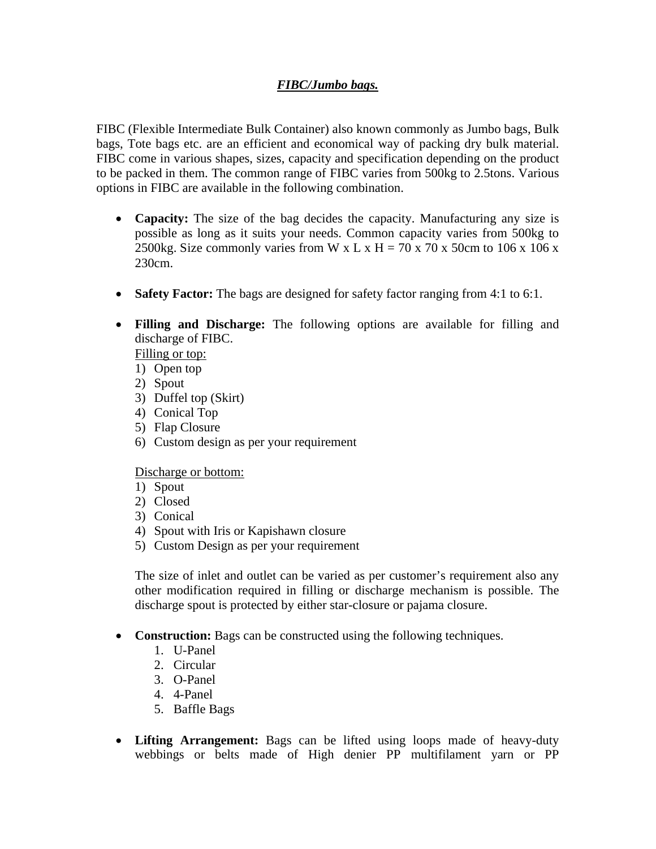## *FIBC/Jumbo bags.*

FIBC (Flexible Intermediate Bulk Container) also known commonly as Jumbo bags, Bulk bags, Tote bags etc. are an efficient and economical way of packing dry bulk material. FIBC come in various shapes, sizes, capacity and specification depending on the product to be packed in them. The common range of FIBC varies from 500kg to 2.5tons. Various options in FIBC are available in the following combination.

- **Capacity:** The size of the bag decides the capacity. Manufacturing any size is possible as long as it suits your needs. Common capacity varies from 500kg to 2500kg. Size commonly varies from W x L x H = 70 x 70 x 50cm to 106 x 106 x 230cm.
- **Safety Factor:** The bags are designed for safety factor ranging from 4:1 to 6:1.
- **Filling and Discharge:** The following options are available for filling and discharge of FIBC.

Filling or top:

- 1) Open top
- 2) Spout
- 3) Duffel top (Skirt)
- 4) Conical Top
- 5) Flap Closure
- 6) Custom design as per your requirement

Discharge or bottom:

- 1) Spout
- 2) Closed
- 3) Conical
- 4) Spout with Iris or Kapishawn closure
- 5) Custom Design as per your requirement

The size of inlet and outlet can be varied as per customer's requirement also any other modification required in filling or discharge mechanism is possible. The discharge spout is protected by either star-closure or pajama closure.

- **Construction:** Bags can be constructed using the following techniques.
	- 1. U-Panel
	- 2. Circular
	- 3. O-Panel
	- 4. 4-Panel
	- 5. Baffle Bags
- **Lifting Arrangement:** Bags can be lifted using loops made of heavy-duty webbings or belts made of High denier PP multifilament yarn or PP